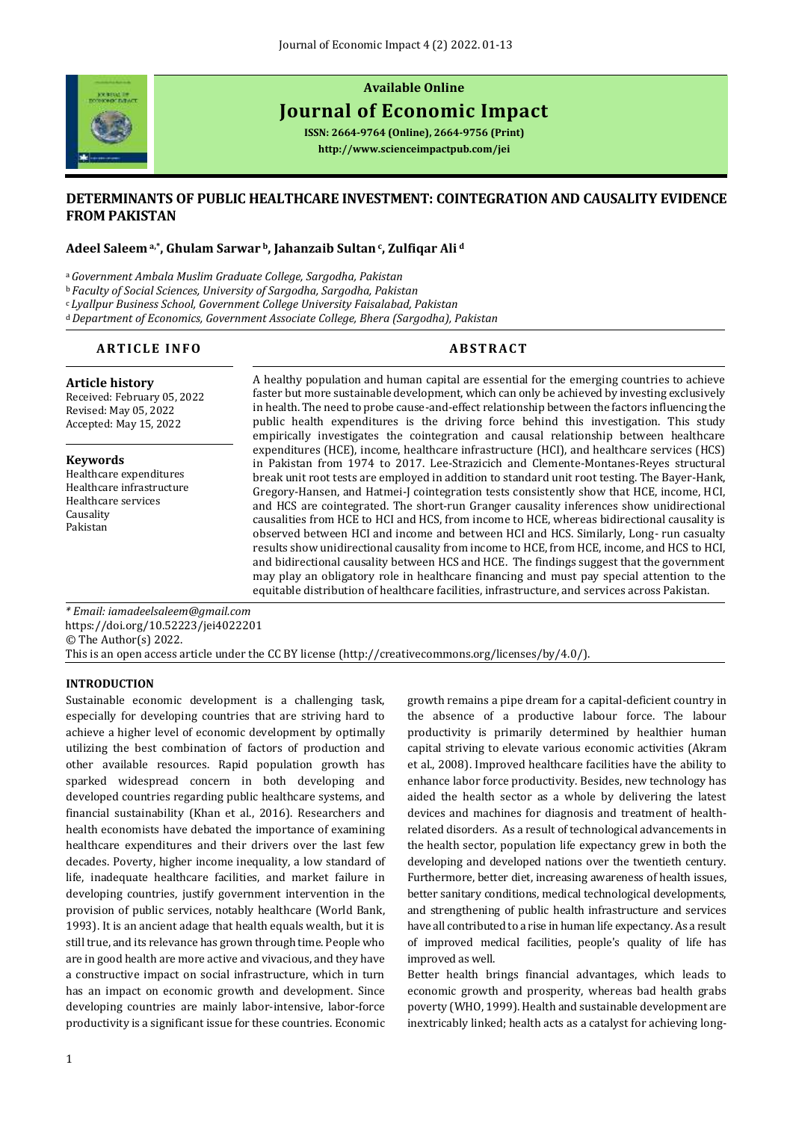

# **Available Online Journal of Economic Impact**

**ISSN: 2664-9764 (Online), 2664-9756 (Print) <http://www.scienceimpactpub.com/jei>**

# **DETERMINANTS OF PUBLIC HEALTHCARE INVESTMENT: COINTEGRATION AND CAUSALITY EVIDENCE FROM PAKISTAN**

# **Adeel Saleem a,\*, Ghulam Sarwar <sup>b</sup>, Jahanzaib Sultan <sup>c</sup> , Zulfiqar Ali <sup>d</sup>**

<sup>a</sup>*Government Ambala Muslim Graduate College, Sargodha, Pakistan*

<sup>b</sup> *Faculty of Social Sciences, University of Sargodha, Sargodha, Pakistan*

<sup>c</sup>*Lyallpur Business School, Government College University Faisalabad, Pakistan*

<sup>d</sup>*Department of Economics, Government Associate College, Bhera (Sargodha), Pakistan*

# **ARTICLE INFO ABSTRACT**

**Article history**  Received: February 05, 2022 Revised: May 05, 2022 Accepted: May 15, 2022

**Keywords** Healthcare expenditures Healthcare infrastructure Healthcare services Causality Pakistan

A healthy population and human capital are essential for the emerging countries to achieve faster but more sustainable development, which can only be achieved by investing exclusively in health. The need to probe cause-and-effect relationship between the factors influencing the public health expenditures is the driving force behind this investigation. This study empirically investigates the cointegration and causal relationship between healthcare expenditures (HCE), income, healthcare infrastructure (HCI), and healthcare services (HCS) in Pakistan from 1974 to 2017. Lee-Strazicich and Clemente-Montanes-Reyes structural break unit root tests are employed in addition to standard unit root testing. The Bayer-Hank, Gregory-Hansen, and Hatmei-J cointegration tests consistently show that HCE, income, HCI, and HCS are cointegrated. The short-run Granger causality inferences show unidirectional causalities from HCE to HCI and HCS, from income to HCE, whereas bidirectional causality is observed between HCI and income and between HCI and HCS. Similarly, Long- run casualty results show unidirectional causality from income to HCE, from HCE, income, and HCS to HCI, and bidirectional causality between HCS and HCE. The findings suggest that the government may play an obligatory role in healthcare financing and must pay special attention to the equitable distribution of healthcare facilities, infrastructure, and services across Pakistan.

*\* Email[: iamadeelsaleem@gmail.com](mailto:iamadeelsaleem@gmail.com)* <https://doi.org/10.52223/jei4022201> © The Author(s) 2022. This is an open access article under the CC BY license [\(http://creativecommons.org/licenses/by/4.0/\)](http://creativecommons.org/licenses/by/4.0/).

# **INTRODUCTION**

Sustainable economic development is a challenging task, especially for developing countries that are striving hard to achieve a higher level of economic development by optimally utilizing the best combination of factors of production and other available resources. Rapid population growth has sparked widespread concern in both developing and developed countries regarding public healthcare systems, and financial sustainability (Khan et al., 2016). Researchers and health economists have debated the importance of examining healthcare expenditures and their drivers over the last few decades. Poverty, higher income inequality, a low standard of life, inadequate healthcare facilities, and market failure in developing countries, justify government intervention in the provision of public services, notably healthcare (World Bank, 1993). It is an ancient adage that health equals wealth, but it is still true, and its relevance has grown through time. People who are in good health are more active and vivacious, and they have a constructive impact on social infrastructure, which in turn has an impact on economic growth and development. Since developing countries are mainly labor-intensive, labor-force productivity is a significant issue for these countries. Economic

growth remains a pipe dream for a capital-deficient country in the absence of a productive labour force. The labour productivity is primarily determined by healthier human capital striving to elevate various economic activities (Akram et al., 2008). Improved healthcare facilities have the ability to enhance labor force productivity. Besides, new technology has aided the health sector as a whole by delivering the latest devices and machines for diagnosis and treatment of healthrelated disorders. As a result of technological advancements in the health sector, population life expectancy grew in both the developing and developed nations over the twentieth century. Furthermore, better diet, increasing awareness of health issues, better sanitary conditions, medical technological developments, and strengthening of public health infrastructure and services have all contributed to a rise in human life expectancy. As a result of improved medical facilities, people's quality of life has improved as well.

Better health brings financial advantages, which leads to economic growth and prosperity, whereas bad health grabs poverty (WHO, 1999). Health and sustainable development are inextricably linked; health acts as a catalyst for achieving long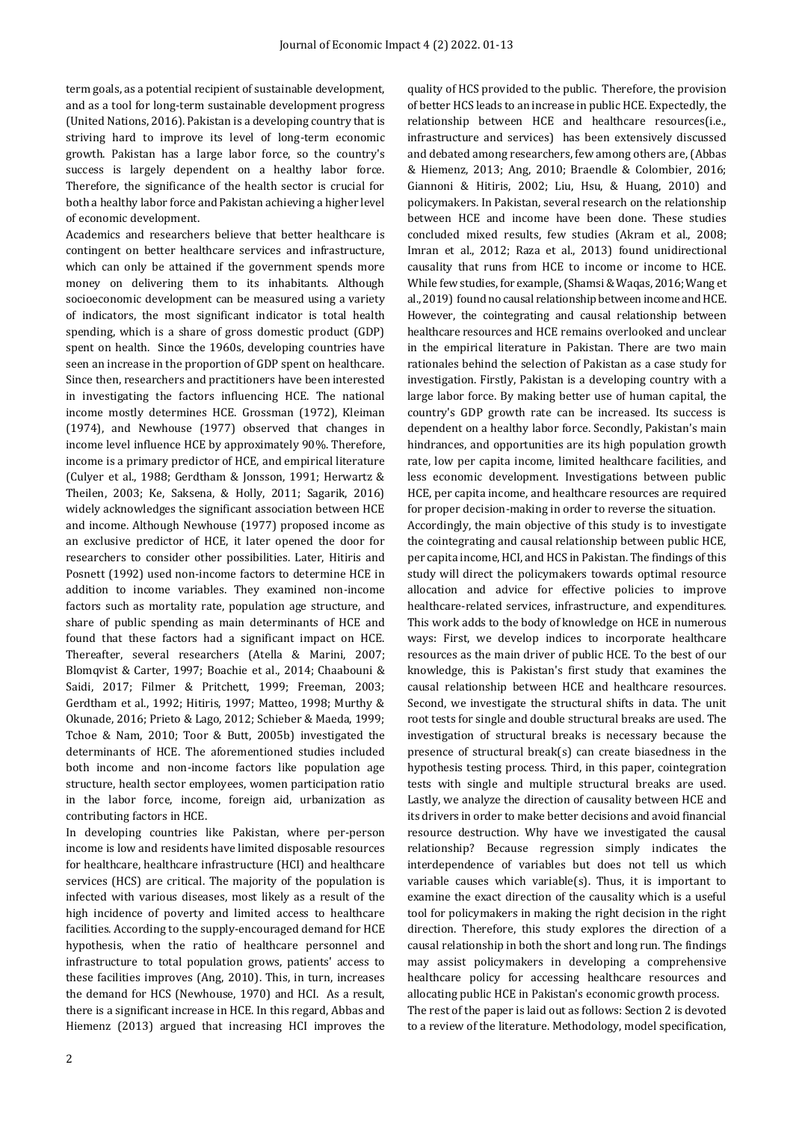term goals, as a potential recipient of sustainable development, and as a tool for long-term sustainable development progress (United Nations, 2016). Pakistan is a developing country that is striving hard to improve its level of long-term economic growth. Pakistan has a large labor force, so the country's success is largely dependent on a healthy labor force. Therefore, the significance of the health sector is crucial for both a healthy labor force and Pakistan achieving a higher level of economic development.

Academics and researchers believe that better healthcare is contingent on better healthcare services and infrastructure, which can only be attained if the government spends more money on delivering them to its inhabitants. Although socioeconomic development can be measured using a variety of indicators, the most significant indicator is total health spending, which is a share of gross domestic product (GDP) spent on health. Since the 1960s, developing countries have seen an increase in the proportion of GDP spent on healthcare. Since then, researchers and practitioners have been interested in investigating the factors influencing HCE. The national income mostly determines HCE. Grossman (1972), Kleiman (1974), and Newhouse (1977) observed that changes in income level influence HCE by approximately 90%. Therefore, income is a primary predictor of HCE, and empirical literature (Culyer et al., 1988; Gerdtham & Jonsson, 1991; Herwartz & Theilen, 2003; Ke, Saksena, & Holly, 2011; Sagarik, 2016) widely acknowledges the significant association between HCE and income. Although Newhouse (1977) proposed income as an exclusive predictor of HCE, it later opened the door for researchers to consider other possibilities. Later, Hitiris and Posnett (1992) used non-income factors to determine HCE in addition to income variables. They examined non-income factors such as mortality rate, population age structure, and share of public spending as main determinants of HCE and found that these factors had a significant impact on HCE. Thereafter, several researchers (Atella & Marini, 2007; Blomqvist & Carter, 1997; Boachie et al., 2014; Chaabouni & Saidi, 2017; Filmer & Pritchett, 1999; Freeman, 2003; Gerdtham et al., 1992; Hitiris, 1997; Matteo, 1998; Murthy & Okunade, 2016; Prieto & Lago, 2012; Schieber & Maeda, 1999; Tchoe & Nam, 2010; Toor & Butt, 2005b) investigated the determinants of HCE. The aforementioned studies included both income and non-income factors like population age structure, health sector employees, women participation ratio in the labor force, income, foreign aid, urbanization as contributing factors in HCE.

In developing countries like Pakistan, where per-person income is low and residents have limited disposable resources for healthcare, healthcare infrastructure (HCI) and healthcare services (HCS) are critical. The majority of the population is infected with various diseases, most likely as a result of the high incidence of poverty and limited access to healthcare facilities. According to the supply-encouraged demand for HCE hypothesis, when the ratio of healthcare personnel and infrastructure to total population grows, patients' access to these facilities improves (Ang, 2010). This, in turn, increases the demand for HCS (Newhouse, 1970) and HCI. As a result, there is a significant increase in HCE. In this regard, Abbas and Hiemenz (2013) argued that increasing HCI improves the quality of HCS provided to the public. Therefore, the provision of better HCS leads to an increase in public HCE. Expectedly, the relationship between HCE and healthcare resources(i.e., infrastructure and services) has been extensively discussed and debated among researchers, few among others are, (Abbas & Hiemenz, 2013; Ang, 2010; Braendle & Colombier, 2016; Giannoni & Hitiris, 2002; Liu, Hsu, & Huang, 2010) and policymakers. In Pakistan, several research on the relationship between HCE and income have been done. These studies concluded mixed results, few studies (Akram et al., 2008; Imran et al., 2012; Raza et al., 2013) found unidirectional causality that runs from HCE to income or income to HCE. While few studies, for example, (Shamsi & Waqas, 2016; Wang et al., 2019) found no causal relationship between income and HCE. However, the cointegrating and causal relationship between healthcare resources and HCE remains overlooked and unclear in the empirical literature in Pakistan. There are two main rationales behind the selection of Pakistan as a case study for investigation. Firstly, Pakistan is a developing country with a large labor force. By making better use of human capital, the country's GDP growth rate can be increased. Its success is dependent on a healthy labor force. Secondly, Pakistan's main hindrances, and opportunities are its high population growth rate, low per capita income, limited healthcare facilities, and less economic development. Investigations between public HCE, per capita income, and healthcare resources are required for proper decision-making in order to reverse the situation.

Accordingly, the main objective of this study is to investigate the cointegrating and causal relationship between public HCE, per capita income, HCI, and HCS in Pakistan. The findings of this study will direct the policymakers towards optimal resource allocation and advice for effective policies to improve healthcare-related services, infrastructure, and expenditures. This work adds to the body of knowledge on HCE in numerous ways: First, we develop indices to incorporate healthcare resources as the main driver of public HCE. To the best of our knowledge, this is Pakistan's first study that examines the causal relationship between HCE and healthcare resources. Second, we investigate the structural shifts in data. The unit root tests for single and double structural breaks are used. The investigation of structural breaks is necessary because the presence of structural break(s) can create biasedness in the hypothesis testing process. Third, in this paper, cointegration tests with single and multiple structural breaks are used. Lastly, we analyze the direction of causality between HCE and its drivers in order to make better decisions and avoid financial resource destruction. Why have we investigated the causal relationship? Because regression simply indicates the interdependence of variables but does not tell us which variable causes which variable(s). Thus, it is important to examine the exact direction of the causality which is a useful tool for policymakers in making the right decision in the right direction. Therefore, this study explores the direction of a causal relationship in both the short and long run. The findings may assist policymakers in developing a comprehensive healthcare policy for accessing healthcare resources and allocating public HCE in Pakistan's economic growth process. The rest of the paper is laid out as follows: Section 2 is devoted to a review of the literature. Methodology, model specification,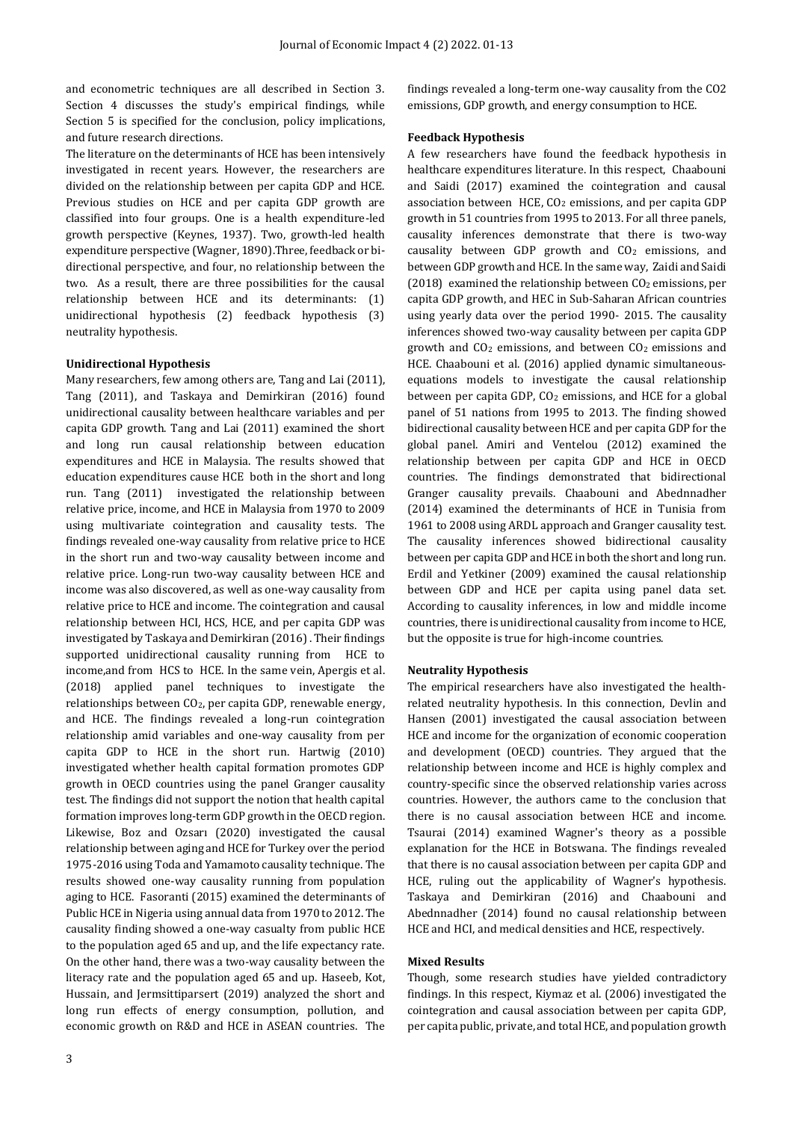and econometric techniques are all described in Section 3. Section 4 discusses the study's empirical findings, while Section 5 is specified for the conclusion, policy implications, and future research directions.

The literature on the determinants of HCE has been intensively investigated in recent years. However, the researchers are divided on the relationship between per capita GDP and HCE. Previous studies on HCE and per capita GDP growth are classified into four groups. One is a health expenditure-led growth perspective (Keynes, 1937). Two, growth-led health expenditure perspective (Wagner, 1890).Three, feedback or bidirectional perspective, and four, no relationship between the two. As a result, there are three possibilities for the causal relationship between HCE and its determinants: (1) unidirectional hypothesis (2) feedback hypothesis (3) neutrality hypothesis.

# **Unidirectional Hypothesis**

Many researchers, few among others are, Tang and Lai (2011), Tang (2011), and Taskaya and Demirkiran (2016) found unidirectional causality between healthcare variables and per capita GDP growth. Tang and Lai (2011) examined the short and long run causal relationship between education expenditures and HCE in Malaysia. The results showed that education expenditures cause HCE both in the short and long run. Tang (2011) investigated the relationship between relative price, income, and HCE in Malaysia from 1970 to 2009 using multivariate cointegration and causality tests. The findings revealed one-way causality from relative price to HCE in the short run and two-way causality between income and relative price. Long-run two-way causality between HCE and income was also discovered, as well as one-way causality from relative price to HCE and income. The cointegration and causal relationship between HCI, HCS, HCE, and per capita GDP was investigated by Taskaya and Demirkiran (2016). Their findings supported unidirectional causality running from HCE to income,and from HCS to HCE. In the same vein, Apergis et al. (2018) applied panel techniques to investigate the relationships between CO2, per capita GDP, renewable energy, and HCE. The findings revealed a long-run cointegration relationship amid variables and one-way causality from per capita GDP to HCE in the short run. Hartwig (2010) investigated whether health capital formation promotes GDP growth in OECD countries using the panel Granger causality test. The findings did not support the notion that health capital formation improves long-term GDP growth in the OECD region. Likewise, Boz and Ozsarı (2020) investigated the causal relationship between aging and HCE for Turkey over the period 1975-2016 using Toda and Yamamoto causality technique. The results showed one-way causality running from population aging to HCE. Fasoranti (2015) examined the determinants of Public HCE in Nigeria using annual data from 1970 to 2012. The causality finding showed a one-way casualty from public HCE to the population aged 65 and up, and the life expectancy rate. On the other hand, there was a two-way causality between the literacy rate and the population aged 65 and up. Haseeb, Kot, Hussain, and Jermsittiparsert (2019) analyzed the short and long run effects of energy consumption, pollution, and economic growth on R&D and HCE in ASEAN countries. The

findings revealed a long-term one-way causality from the CO2 emissions, GDP growth, and energy consumption to HCE.

### **Feedback Hypothesis**

A few researchers have found the feedback hypothesis in healthcare expenditures literature. In this respect, Chaabouni and Saidi (2017) examined the cointegration and causal association between HCE,  $CO<sub>2</sub>$  emissions, and per capita GDP growth in 51 countries from 1995 to 2013. For all three panels, causality inferences demonstrate that there is two-way causality between GDP growth and  $CO<sub>2</sub>$  emissions, and between GDP growth and HCE. In the same way, Zaidi and Saidi (2018) examined the relationship between  $CO<sub>2</sub>$  emissions, per capita GDP growth, and HEC in Sub-Saharan African countries using yearly data over the period 1990- 2015. The causality inferences showed two-way causality between per capita GDP growth and CO<sup>2</sup> emissions, and between CO2 emissions and HCE. Chaabouni et al. (2016) applied dynamic simultaneousequations models to investigate the causal relationship between per capita GDP, CO<sub>2</sub> emissions, and HCE for a global panel of 51 nations from 1995 to 2013. The finding showed bidirectional causality between HCE and per capita GDP for the global panel. Amiri and Ventelou (2012) examined the relationship between per capita GDP and HCE in OECD countries. The findings demonstrated that bidirectional Granger causality prevails. Chaabouni and Abednnadher (2014) examined the determinants of HCE in Tunisia from 1961 to 2008 using ARDL approach and Granger causality test. The causality inferences showed bidirectional causality between per capita GDP and HCE in both the short and long run. Erdil and Yetkiner (2009) examined the causal relationship between GDP and HCE per capita using panel data set. According to causality inferences, in low and middle income countries, there is unidirectional causality from income to HCE, but the opposite is true for high-income countries.

#### **Neutrality Hypothesis**

The empirical researchers have also investigated the healthrelated neutrality hypothesis. In this connection, Devlin and Hansen (2001) investigated the causal association between HCE and income for the organization of economic cooperation and development (OECD) countries. They argued that the relationship between income and HCE is highly complex and country-specific since the observed relationship varies across countries. However, the authors came to the conclusion that there is no causal association between HCE and income. Tsaurai (2014) examined Wagner's theory as a possible explanation for the HCE in Botswana. The findings revealed that there is no causal association between per capita GDP and HCE, ruling out the applicability of Wagner's hypothesis. Taskaya and Demirkiran (2016) and Chaabouni and Abednnadher (2014) found no causal relationship between HCE and HCI, and medical densities and HCE, respectively.

# **Mixed Results**

Though, some research studies have yielded contradictory findings. In this respect, Kiymaz et al. (2006) investigated the cointegration and causal association between per capita GDP, per capita public, private, and total HCE, and population growth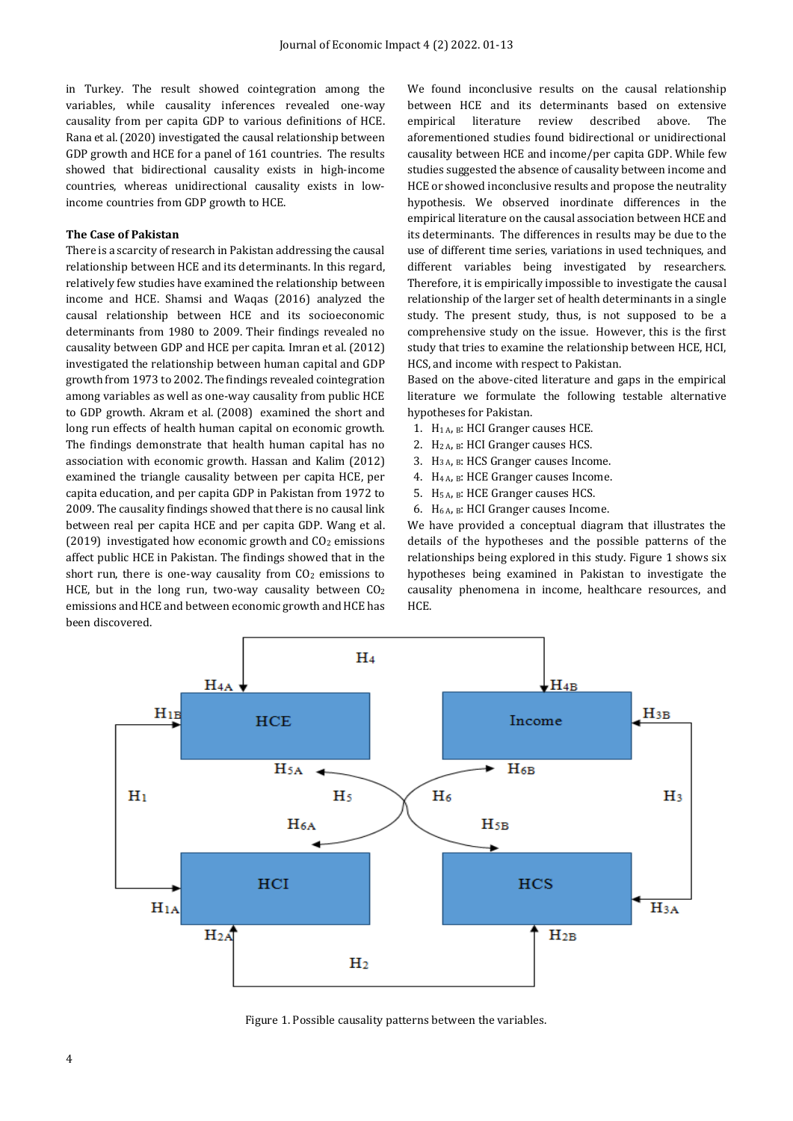in Turkey. The result showed cointegration among the variables, while causality inferences revealed one-way causality from per capita GDP to various definitions of HCE. Rana et al. (2020) investigated the causal relationship between GDP growth and HCE for a panel of 161 countries. The results showed that bidirectional causality exists in high-income countries, whereas unidirectional causality exists in lowincome countries from GDP growth to HCE.

#### **The Case of Pakistan**

There is a scarcity of research in Pakistan addressing the causal relationship between HCE and its determinants. In this regard, relatively few studies have examined the relationship between income and HCE. Shamsi and Waqas (2016) analyzed the causal relationship between HCE and its socioeconomic determinants from 1980 to 2009. Their findings revealed no causality between GDP and HCE per capita. Imran et al. (2012) investigated the relationship between human capital and GDP growth from 1973 to 2002. The findings revealed cointegration among variables as well as one-way causality from public HCE to GDP growth. Akram et al. (2008) examined the short and long run effects of health human capital on economic growth. The findings demonstrate that health human capital has no association with economic growth. Hassan and Kalim (2012) examined the triangle causality between per capita HCE, per capita education, and per capita GDP in Pakistan from 1972 to 2009. The causality findings showed that there is no causal link between real per capita HCE and per capita GDP. Wang et al. (2019) investigated how economic growth and  $CO<sub>2</sub>$  emissions affect public HCE in Pakistan. The findings showed that in the short run, there is one-way causality from CO<sub>2</sub> emissions to HCE, but in the long run, two-way causality between  $CO<sub>2</sub>$ emissions and HCE and between economic growth and HCE has been discovered.

We found inconclusive results on the causal relationship between HCE and its determinants based on extensive empirical literature review described above. The aforementioned studies found bidirectional or unidirectional causality between HCE and income/per capita GDP. While few studies suggested the absence of causality between income and HCE or showed inconclusive results and propose the neutrality hypothesis. We observed inordinate differences in the empirical literature on the causal association between HCE and its determinants. The differences in results may be due to the use of different time series, variations in used techniques, and different variables being investigated by researchers. Therefore, it is empirically impossible to investigate the causal relationship of the larger set of health determinants in a single study. The present study, thus, is not supposed to be a comprehensive study on the issue. However, this is the first study that tries to examine the relationship between HCE, HCI, HCS, and income with respect to Pakistan.

Based on the above-cited literature and gaps in the empirical literature we formulate the following testable alternative hypotheses for Pakistan.

- 1. H1 A, B: HCI Granger causes HCE.
- 2. H2 A, B: HCI Granger causes HCS.
- 3.  $H_{3A}$ ,  $B$ : HCS Granger causes Income.
- 4. H4 A, B: HCE Granger causes Income.
- 5. H5 A, B: HCE Granger causes HCS.
- 6.  $H_{6A}$ ,  $B$ : HCI Granger causes Income.

We have provided a conceptual diagram that illustrates the details of the hypotheses and the possible patterns of the relationships being explored in this study. Figure 1 shows six hypotheses being examined in Pakistan to investigate the causality phenomena in income, healthcare resources, and HCE.



Figure 1. Possible causality patterns between the variables.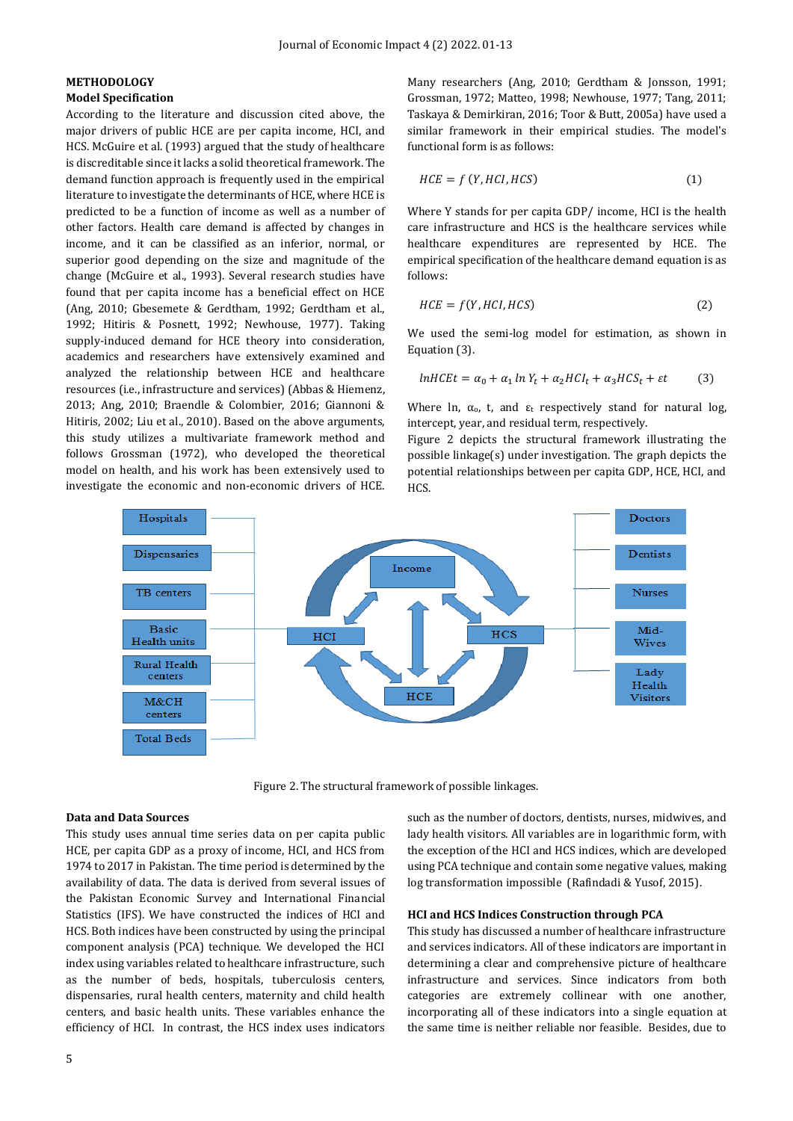# **METHODOLOGY Model Specification**

According to the literature and discussion cited above, the major drivers of public HCE are per capita income, HCI, and HCS. McGuire et al. (1993) argued that the study of healthcare is discreditable since it lacks a solid theoretical framework. The demand function approach is frequently used in the empirical literature to investigate the determinants of HCE, where HCE is predicted to be a function of income as well as a number of other factors. Health care demand is affected by changes in income, and it can be classified as an inferior, normal, or superior good depending on the size and magnitude of the change (McGuire et al., 1993). Several research studies have found that per capita income has a beneficial effect on HCE (Ang, 2010; Gbesemete & Gerdtham, 1992; Gerdtham et al., 1992; Hitiris & Posnett, 1992; Newhouse, 1977). Taking supply-induced demand for HCE theory into consideration, academics and researchers have extensively examined and analyzed the relationship between HCE and healthcare resources (i.e., infrastructure and services) (Abbas & Hiemenz, 2013; Ang, 2010; Braendle & Colombier, 2016; Giannoni & Hitiris, 2002; Liu et al., 2010). Based on the above arguments, this study utilizes a multivariate framework method and follows Grossman (1972), who developed the theoretical model on health, and his work has been extensively used to investigate the economic and non-economic drivers of HCE.

Many researchers (Ang, 2010; Gerdtham & Jonsson, 1991; Grossman, 1972; Matteo, 1998; Newhouse, 1977; Tang, 2011; Taskaya & Demirkiran, 2016; Toor & Butt, 2005a) have used a similar framework in their empirical studies. The model's functional form is as follows:

$$
HCE = f(Y, HCI, HCS)
$$
 (1)

Where Y stands for per capita GDP/ income, HCI is the health care infrastructure and HCS is the healthcare services while healthcare expenditures are represented by HCE. The empirical specification of the healthcare demand equation is as follows:

$$
HCE = f(Y, HCI, HCS)
$$
 (2)

We used the semi-log model for estimation, as shown in Equation (3).

$$
lnHCEt = \alpha_0 + \alpha_1 \ln Y_t + \alpha_2 HCI_t + \alpha_3 HCS_t + \varepsilon t \tag{3}
$$

Where ln,  $\alpha_0$ , t, and  $\epsilon_t$  respectively stand for natural log, intercept, year, and residual term, respectively.

Figure 2 depicts the structural framework illustrating the possible linkage(s) under investigation. The graph depicts the potential relationships between per capita GDP, HCE, HCI, and HCS.



Figure 2. The structural framework of possible linkages.

#### **Data and Data Sources**

This study uses annual time series data on per capita public HCE, per capita GDP as a proxy of income, HCI, and HCS from 1974 to 2017 in Pakistan. The time period is determined by the availability of data. The data is derived from several issues of the Pakistan Economic Survey and International Financial Statistics (IFS). We have constructed the indices of HCI and HCS. Both indices have been constructed by using the principal component analysis (PCA) technique. We developed the HCI index using variables related to healthcare infrastructure, such as the number of beds, hospitals, tuberculosis centers, dispensaries, rural health centers, maternity and child health centers, and basic health units. These variables enhance the efficiency of HCI. In contrast, the HCS index uses indicators such as the number of doctors, dentists, nurses, midwives, and lady health visitors. All variables are in logarithmic form, with the exception of the HCI and HCS indices, which are developed using PCA technique and contain some negative values, making log transformation impossible (Rafindadi & Yusof, 2015).

### **HCI and HCS Indices Construction through PCA**

This study has discussed a number of healthcare infrastructure and services indicators. All of these indicators are important in determining a clear and comprehensive picture of healthcare infrastructure and services. Since indicators from both categories are extremely collinear with one another, incorporating all of these indicators into a single equation at the same time is neither reliable nor feasible. Besides, due to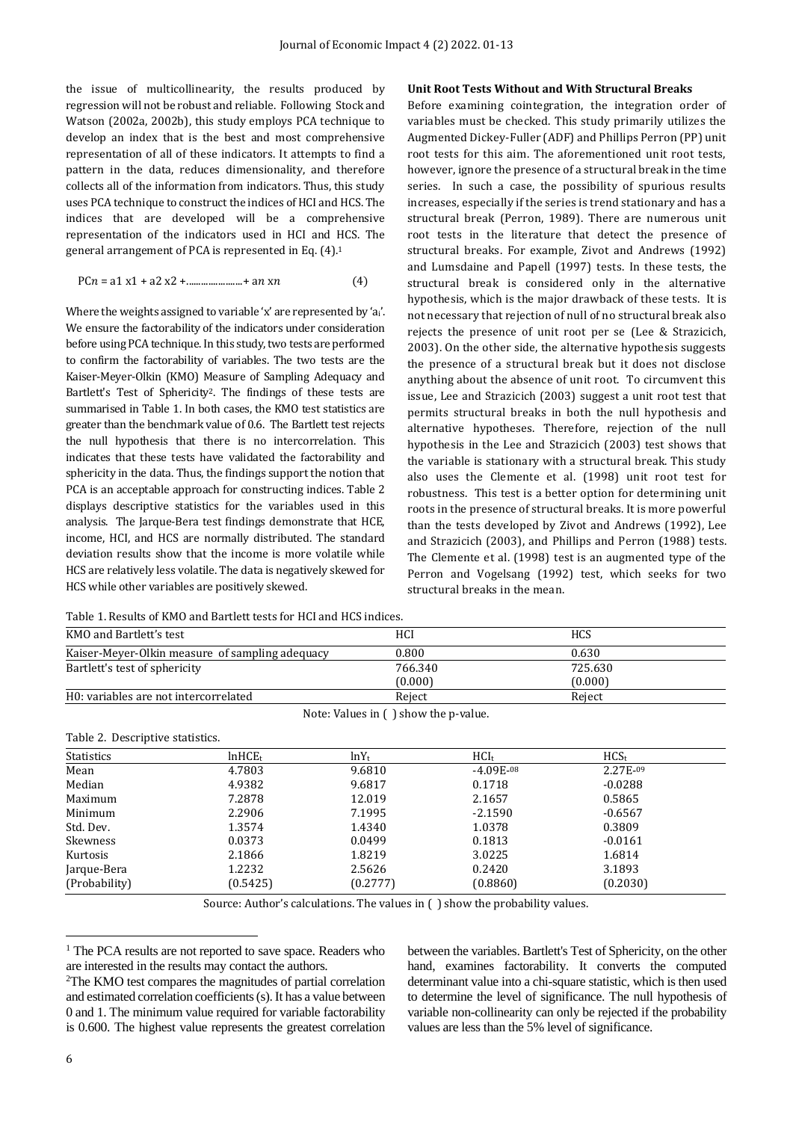the issue of multicollinearity, the results produced by regression will not be robust and reliable. Following Stock and Watson (2002a, 2002b), this study employs PCA technique to develop an index that is the best and most comprehensive representation of all of these indicators. It attempts to find a pattern in the data, reduces dimensionality, and therefore collects all of the information from indicators. Thus, this study uses PCA technique to construct the indices of HCI and HCS. The indices that are developed will be a comprehensive representation of the indicators used in HCI and HCS. The general arrangement of PCA is represented in Eq. (4).<sup>1</sup>

$$
P C n = a 1 x 1 + a 2 x 2 + \dots + a n x n \tag{4}
$$

Where the weights assigned to variable 'x' are represented by 'ai'. We ensure the factorability of the indicators under consideration before using PCA technique. In this study, two tests are performed to confirm the factorability of variables. The two tests are the Kaiser-Meyer-Olkin (KMO) Measure of Sampling Adequacy and Bartlett's Test of Sphericity2. The findings of these tests are summarised in Table 1. In both cases, the KMO test statistics are greater than the benchmark value of 0.6. The Bartlett test rejects the null hypothesis that there is no intercorrelation. This indicates that these tests have validated the factorability and sphericity in the data. Thus, the findings support the notion that PCA is an acceptable approach for constructing indices. Table 2 displays descriptive statistics for the variables used in this analysis. The Jarque-Bera test findings demonstrate that HCE, income, HCI, and HCS are normally distributed. The standard deviation results show that the income is more volatile while HCS are relatively less volatile. The data is negatively skewed for HCS while other variables are positively skewed.

#### Table 1. Results of KMO and Bartlett tests for HCI and HCS indices.

| Unit Root Tests Without and With Structural Breaks |  |  |  |
|----------------------------------------------------|--|--|--|
|----------------------------------------------------|--|--|--|

Before examining cointegration, the integration order of variables must be checked. This study primarily utilizes the Augmented Dickey-Fuller (ADF) and Phillips Perron (PP) unit root tests for this aim. The aforementioned unit root tests, however, ignore the presence of a structural break in the time series. In such a case, the possibility of spurious results increases, especially if the series is trend stationary and has a structural break (Perron, 1989). There are numerous unit root tests in the literature that detect the presence of structural breaks. For example, Zivot and Andrews (1992) and Lumsdaine and Papell (1997) tests. In these tests, the structural break is considered only in the alternative hypothesis, which is the major drawback of these tests. It is not necessary that rejection of null of no structural break also rejects the presence of unit root per se (Lee & Strazicich, 2003). On the other side, the alternative hypothesis suggests the presence of a structural break but it does not disclose anything about the absence of unit root. To circumvent this issue, Lee and Strazicich (2003) suggest a unit root test that permits structural breaks in both the null hypothesis and alternative hypotheses. Therefore, rejection of the null hypothesis in the Lee and Strazicich (2003) test shows that the variable is stationary with a structural break. This study also uses the Clemente et al. (1998) unit root test for robustness. This test is a better option for determining unit roots in the presence of structural breaks. It is more powerful than the tests developed by Zivot and Andrews (1992), Lee and Strazicich (2003), and Phillips and Perron (1988) tests. The Clemente et al. (1998) test is an augmented type of the Perron and Vogelsang (1992) test, which seeks for two structural breaks in the mean.

| KMO and Bartlett's test                         | HCI     | <b>HCS</b> |
|-------------------------------------------------|---------|------------|
| Kaiser-Meyer-Olkin measure of sampling adequacy | 0.800   | 0.630      |
| Bartlett's test of sphericity                   | 766.340 | 725.630    |
|                                                 | (0.000) | (0.000)    |
| H0: variables are not intercorrelated           | Reiect  | Reiect     |

Note: Values in ( ) show the p-value.

| Table 2. Descriptive statistics. |                     |          |                  |                  |  |
|----------------------------------|---------------------|----------|------------------|------------------|--|
| <b>Statistics</b>                | ln HCE <sub>t</sub> | $lnY_t$  | HCI <sub>t</sub> | HCS <sub>t</sub> |  |
| Mean                             | 4.7803              | 9.6810   | $-4.09E-08$      | 2.27E-09         |  |
| Median                           | 4.9382              | 9.6817   | 0.1718           | $-0.0288$        |  |
| Maximum                          | 7.2878              | 12.019   | 2.1657           | 0.5865           |  |
| Minimum                          | 2.2906              | 7.1995   | $-2.1590$        | $-0.6567$        |  |
| Std. Dev.                        | 1.3574              | 1.4340   | 1.0378           | 0.3809           |  |
| Skewness                         | 0.0373              | 0.0499   | 0.1813           | $-0.0161$        |  |
| Kurtosis                         | 2.1866              | 1.8219   | 3.0225           | 1.6814           |  |
| Jarque-Bera                      | 1.2232              | 2.5626   | 0.2420           | 3.1893           |  |
| (Probability)                    | (0.5425)            | (0.2777) | (0.8860)         | (0.2030)         |  |

Source: Author's calculations. The values in ( ) show the probability values.

<sup>1</sup> The PCA results are not reported to save space. Readers who are interested in the results may contact the authors.

between the variables. Bartlett's Test of Sphericity, on the other hand, examines factorability. It converts the computed determinant value into a chi-square statistic, which is then used to determine the level of significance. The null hypothesis of variable non-collinearity can only be rejected if the probability values are less than the 5% level of significance.

 $\overline{\phantom{a}}$ 

<sup>2</sup>The KMO test compares the magnitudes of partial correlation and estimated correlation coefficients (s). It has a value between 0 and 1. The minimum value required for variable factorability is 0.600. The highest value represents the greatest correlation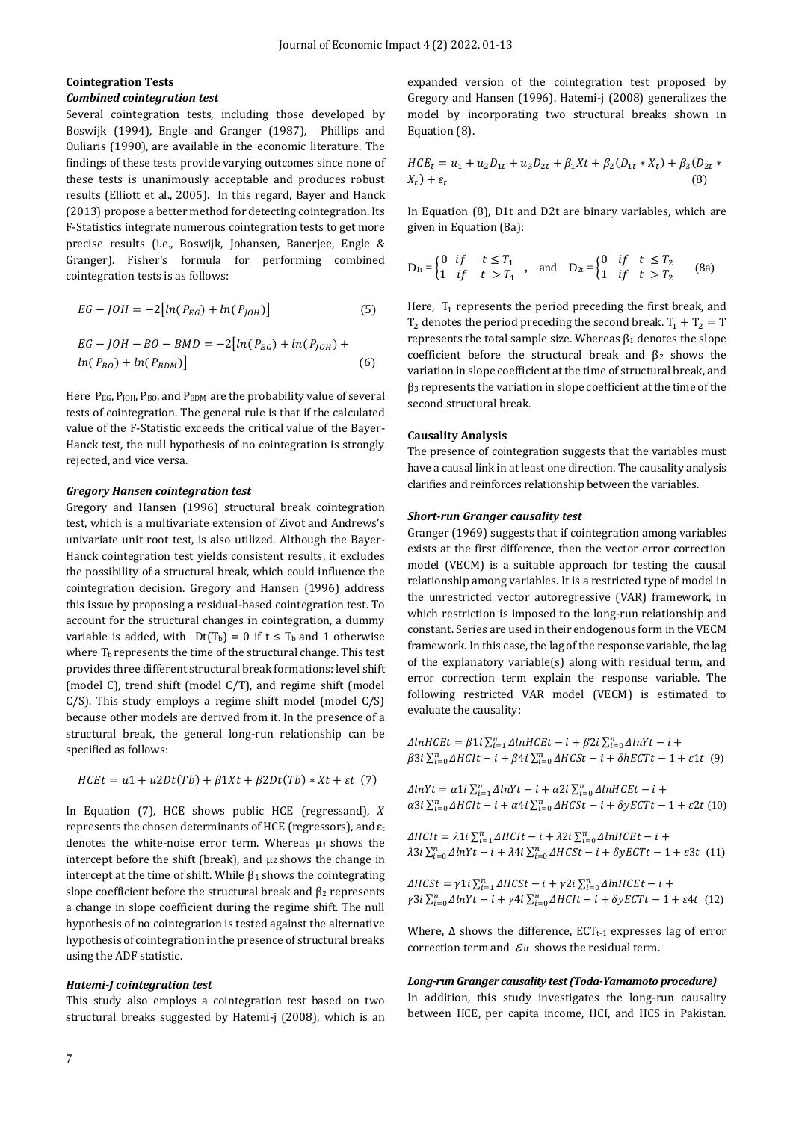# **Cointegration Tests** *Combined cointegration test*

Several cointegration tests, including those developed by Boswijk (1994), Engle and Granger (1987), Phillips and Ouliaris (1990), are available in the economic literature. The findings of these tests provide varying outcomes since none of these tests is unanimously acceptable and produces robust results (Elliott et al., 2005). In this regard, Bayer and Hanck (2013) propose a better method for detecting cointegration. Its F-Statistics integrate numerous cointegration tests to get more precise results (i.e., Boswijk, Johansen, Banerjee, Engle & Granger). Fisher's formula for performing combined cointegration tests is as follows:

$$
EG - JOH = -2\big[ln(P_{EG}) + ln(P_{JOH})\big] \tag{5}
$$

$$
EG - JOH - BO - BMD = -2[ln(P_{EG}) + ln(P_{JOH}) + ln(P_{BO}) + ln(P_{BDM})]
$$
\n(6)

Here  $P_{EG}$ ,  $P_{IOH}$ ,  $P_{BO}$ , and  $P_{BDM}$  are the probability value of several tests of cointegration. The general rule is that if the calculated value of the F-Statistic exceeds the critical value of the Bayer-Hanck test, the null hypothesis of no cointegration is strongly rejected, and vice versa.

#### *Gregory Hansen cointegration test*

Gregory and Hansen (1996) structural break cointegration test, which is a multivariate extension of Zivot and Andrews's univariate unit root test, is also utilized. Although the Bayer-Hanck cointegration test yields consistent results, it excludes the possibility of a structural break, which could influence the cointegration decision. Gregory and Hansen (1996) address this issue by proposing a residual-based cointegration test. To account for the structural changes in cointegration, a dummy variable is added, with  $Dt(T_b) = 0$  if  $t \leq T_b$  and 1 otherwise where  $T_b$  represents the time of the structural change. This test provides three different structural break formations: level shift (model C), trend shift (model C/T), and regime shift (model  $C/S$ ). This study employs a regime shift model (model  $C/S$ ) because other models are derived from it. In the presence of a structural break, the general long-run relationship can be specified as follows:

$$
HCEt = u1 + u2Dt(Tb) + \beta 1Xt + \beta 2Dt(Tb) * Xt + \varepsilon t
$$
 (7)

In Equation (7), HCE shows public HCE (regressand),  $X$ represents the chosen determinants of HCE (regressors), and  $\varepsilon_t$ denotes the white-noise error term. Whereas  $\mu_1$  shows the intercept before the shift (break), and  $\mu_2$  shows the change in intercept at the time of shift. While  $\beta_1$  shows the cointegrating slope coefficient before the structural break and  $\beta_2$  represents a change in slope coefficient during the regime shift. The null hypothesis of no cointegration is tested against the alternative hypothesis of cointegration in the presence of structural breaks using the ADF statistic.

#### *Hatemi-J cointegration test*

This study also employs a cointegration test based on two structural breaks suggested by Hatemi-j (2008), which is an expanded version of the cointegration test proposed by Gregory and Hansen (1996). Hatemi-j (2008) generalizes the model by incorporating two structural breaks shown in Equation (8).

$$
HCE_t = u_1 + u_2D_{1t} + u_3D_{2t} + \beta_1Xt + \beta_2(D_{1t} * X_t) + \beta_3(D_{2t} * X_t) + \varepsilon_t
$$
\n(8)

In Equation (8), D1t and D2t are binary variables, which are given in Equation (8a):

$$
D_{1t} = \begin{cases} 0 & if & t \leq T_1 \\ 1 & if & t > T_1 \end{cases}, and D_{2t} = \begin{cases} 0 & if & t \leq T_2 \\ 1 & if & t > T_2 \end{cases}
$$
 (8a)

Here,  $T_1$  represents the period preceding the first break, and  $T_2$  denotes the period preceding the second break.  $T_1 + T_2 = T$ represents the total sample size. Whereas  $β_1$  denotes the slope coefficient before the structural break and  $β<sub>2</sub>$  shows the variation in slope coefficient at the time of structural break, and β<sup>3</sup> represents the variation in slope coefficient at the time of the second structural break.

#### **Causality Analysis**

The presence of cointegration suggests that the variables must have a causal link in at least one direction. The causality analysis clarifies and reinforces relationship between the variables.

# *Short-run Granger causality test*

Granger (1969) suggests that if cointegration among variables exists at the first difference, then the vector error correction model (VECM) is a suitable approach for testing the causal relationship among variables. It is a restricted type of model in the unrestricted vector autoregressive (VAR) framework, in which restriction is imposed to the long-run relationship and constant. Series are used in their endogenous form in the VECM framework. In this case, the lag of the response variable, the lag of the explanatory variable(s) along with residual term, and error correction term explain the response variable. The following restricted VAR model (VECM) is estimated to evaluate the causality:

 $\Delta ln HCEt = \beta 1 i \sum_{i=1}^{n} \Delta ln HCEt - i + \beta 2 i \sum_{i=0}^{n} \Delta ln Yt - i +$  $\beta$ 3 $i \sum_{i=0}^{n} \Delta H C I t - i + \beta 4 i \sum_{i=0}^{n} \Delta H C S t - i + \delta h E C T t - 1 + \varepsilon 1 t$  (9)

 $\Delta lnYt = \alpha 1 i \sum_{i=1}^{n} \Delta lnYt - i + \alpha 2 i \sum_{i=0}^{n} \Delta lnHCEt - i +$  $\alpha$ 3 $i \sum_{i=0}^{n} \Delta H C I t - i + \alpha 4 i \sum_{i=0}^{n} \Delta H C S t - i + \delta y E C T t - 1 + \varepsilon 2 t$  (10)

 $\Delta H C It = \lambda 1 i \sum_{i=1}^{n} \Delta H C It - i + \lambda 2 i \sum_{i=0}^{n} \Delta In H C E t - i +$  $\lambda$ 3 $i \sum_{i=0}^{n} \Delta lnYt - i + \lambda 4i \sum_{i=0}^{n} \Delta HCSt - i + \delta yECTt - 1 + \varepsilon 3t$  (11)

 $\Delta HCSt = \gamma 1 i \sum_{i=1}^{n} \Delta HCSt - i + \gamma 2 i \sum_{i=0}^{n} \Delta InHEEt - i +$  $\gamma 3i \sum_{i=0}^{n} \Delta lnY t - i + \gamma 4i \sum_{i=0}^{n} \Delta H C It - i + \delta y E C T t - 1 + \varepsilon 4t$  (12)

Where,  $\Delta$  shows the difference, ECT<sub>t-1</sub> expresses lag of error correction term and  $\mathcal{E}_{it}$  shows the residual term.

#### *Long-run Granger causality test (Toda-Yamamoto procedure)*

In addition, this study investigates the long-run causality between HCE, per capita income, HCI, and HCS in Pakistan.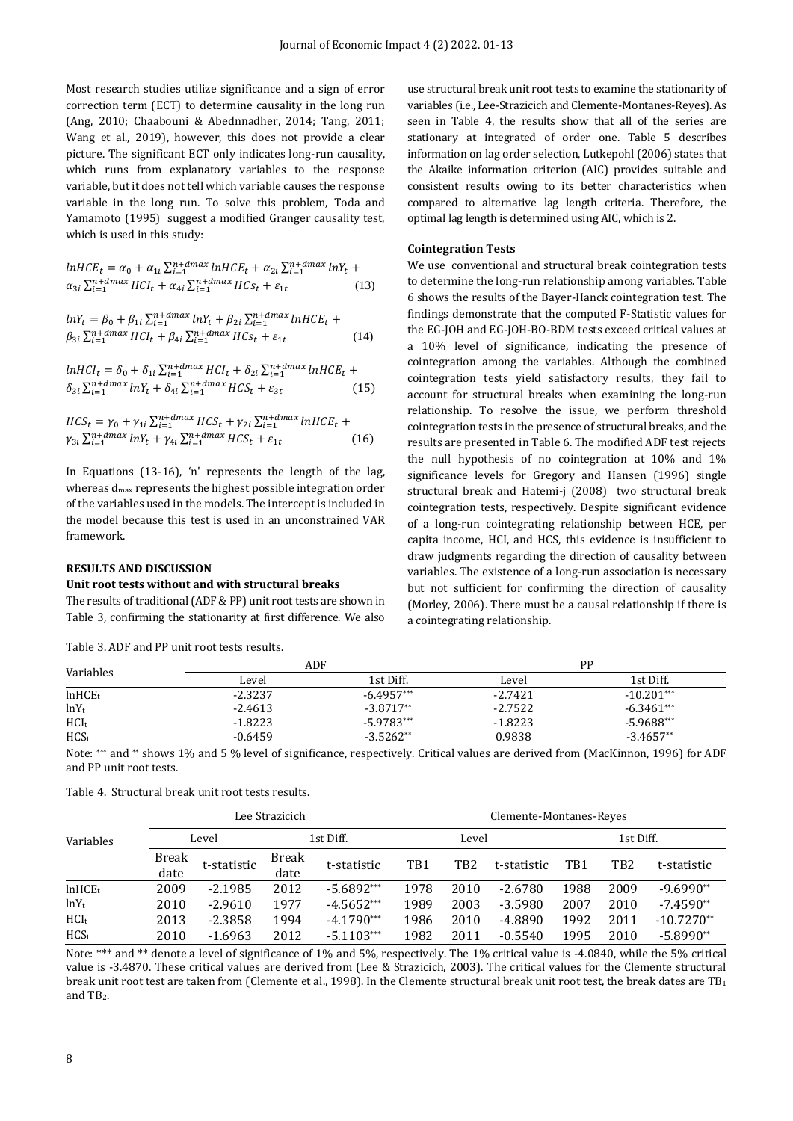Most research studies utilize significance and a sign of error correction term (ECT) to determine causality in the long run (Ang, 2010; Chaabouni & Abednnadher, 2014; Tang, 2011; Wang et al., 2019), however, this does not provide a clear picture. The significant ECT only indicates long-run causality, which runs from explanatory variables to the response variable, but it does not tell which variable causes the response variable in the long run. To solve this problem, Toda and Yamamoto (1995) suggest a modified Granger causality test, which is used in this study:

$$
lnHCE_t = \alpha_0 + \alpha_{1i} \sum_{i=1}^{n+dmax} lnHCE_t + \alpha_{2i} \sum_{i=1}^{n+dmax} lnY_t +
$$
  
\n
$$
\alpha_{3i} \sum_{i=1}^{n+dmax} HCI_t + \alpha_{4i} \sum_{i=1}^{n+dmax} HCs_t + \varepsilon_{1t}
$$
 (13)

$$
lnY_t = \beta_0 + \beta_{1i} \sum_{i=1}^{n+dmax} lnY_t + \beta_{2i} \sum_{i=1}^{n+dmax} lnHCE_t +
$$
  
\n
$$
\beta_{3i} \sum_{i=1}^{n+dmax} HCI_t + \beta_{4i} \sum_{i=1}^{n+dmax} HCs_t + \varepsilon_{1t}
$$
 (14)

$$
lnHCI_t = \delta_0 + \delta_{1i} \sum_{i=1}^{n+dmax} HCI_t + \delta_{2i} \sum_{i=1}^{n+dmax} lnHCE_t + \delta_{3i} \sum_{i=1}^{n+dmax} lnY_t + \delta_{4i} \sum_{i=1}^{n+dmax} HCS_t + \varepsilon_{3t}
$$
 (15)

$$
HCS_t = \gamma_0 + \gamma_{1i} \sum_{i=1}^{n+dmax} HCS_t + \gamma_{2i} \sum_{i=1}^{n+dmax} lnHCE_t +
$$
  
\n
$$
\gamma_{3i} \sum_{i=1}^{n+dmax} lnY_t + \gamma_{4i} \sum_{i=1}^{n+dmax} HCS_t + \varepsilon_{1t}
$$
 (16)

In Equations (13-16), 'n' represents the length of the lag, whereas d<sub>max</sub> represents the highest possible integration order of the variables used in the models. The intercept is included in the model because this test is used in an unconstrained VAR framework.

# **RESULTS AND DISCUSSION**

#### **Unit root tests without and with structural breaks**

The results of traditional (ADF & PP) unit root tests are shown in Table 3, confirming the stationarity at first difference. We also

Table 3. ADF and PP unit root tests results.

use structural break unit root tests to examine the stationarity of variables (i.e., Lee-Strazicich and Clemente-Montanes-Reyes). As seen in Table 4, the results show that all of the series are stationary at integrated of order one. Table 5 describes information on lag order selection, Lutkepohl (2006) states that the Akaike information criterion (AIC) provides suitable and consistent results owing to its better characteristics when compared to alternative lag length criteria. Therefore, the optimal lag length is determined using AIC, which is 2.

#### **Cointegration Tests**

We use conventional and structural break cointegration tests to determine the long-run relationship among variables. Table 6 shows the results of the Bayer-Hanck cointegration test. The findings demonstrate that the computed F-Statistic values for the EG-JOH and EG-JOH-BO-BDM tests exceed critical values at a 10% level of significance, indicating the presence of cointegration among the variables. Although the combined cointegration tests yield satisfactory results, they fail to account for structural breaks when examining the long-run relationship. To resolve the issue, we perform threshold cointegration tests in the presence of structural breaks, and the results are presented in Table 6. The modified ADF test rejects the null hypothesis of no cointegration at 10% and 1% significance levels for Gregory and Hansen (1996) single structural break and Hatemi-j (2008) two structural break cointegration tests, respectively. Despite significant evidence of a long-run cointegrating relationship between HCE, per capita income, HCI, and HCS, this evidence is insufficient to draw judgments regarding the direction of causality between variables. The existence of a long-run association is necessary but not sufficient for confirming the direction of causality (Morley, 2006). There must be a causal relationship if there is a cointegrating relationship.

|                     | ADF       |              |           | РP           |
|---------------------|-----------|--------------|-----------|--------------|
| Variables           | Level     | 1st Diff.    | Level     | 1st Diff.    |
| ln HCE <sub>t</sub> | $-2.3237$ | $-6.4957***$ | $-2.7421$ | $-10.201***$ |
| $lnY_t$             | $-2.4613$ | $-3.8717**$  | $-2.7522$ | $-6.3461***$ |
| HCI <sub>t</sub>    | $-1.8223$ | $-5.9783***$ | $-1.8223$ | $-5.9688***$ |
| HCS <sub>t</sub>    | $-0.6459$ | $-3.5262**$  | 0.9838    | $-3.4657**$  |

Note: \*\*\* and \*\* shows 1% and 5 % level of significance, respectively. Critical values are derived from (MacKinnon, 1996) for ADF and PP unit root tests.

|                     |               | Lee Strazicich |               |              | Clemente-Montanes-Reves |                 |             |           |      |              |
|---------------------|---------------|----------------|---------------|--------------|-------------------------|-----------------|-------------|-----------|------|--------------|
| Variables           |               | Level          |               | 1st Diff.    |                         | Level           |             | 1st Diff. |      |              |
|                     | Break<br>date | t-statistic    | Break<br>date | t-statistic  | TB1                     | TB <sub>2</sub> | t-statistic | TB1       | TB2  | t-statistic  |
| ln HCE <sub>t</sub> | 2009          | $-2.1985$      | 2012          | $-5.6892***$ | 1978                    | 2010            | $-2.6780$   | 1988      | 2009 | $-9.6990**$  |
| $lnY_t$             | 2010          | $-2.9610$      | 1977          | $-4.5652***$ | 1989                    | 2003            | $-3.5980$   | 2007      | 2010 | $-7.4590**$  |
| $HCI_t$             | 2013          | $-2.3858$      | 1994          | $-4.1790***$ | 1986                    | 2010            | $-4.8890$   | 1992      | 2011 | $-10.7270**$ |
| HCS <sub>t</sub>    | 2010          | $-1.6963$      | 2012          | $-5.1103***$ | 1982                    | 2011            | $-0.5540$   | 1995      | 2010 | $-5.8990**$  |

Note: \*\*\* and \*\* denote a level of significance of 1% and 5%, respectively. The 1% critical value is -4.0840, while the 5% critical value is -3.4870. These critical values are derived from (Lee & Strazicich, 2003). The critical values for the Clemente structural break unit root test are taken from (Clemente et al., 1998). In the Clemente structural break unit root test, the break dates are  $TB_1$ and TB2.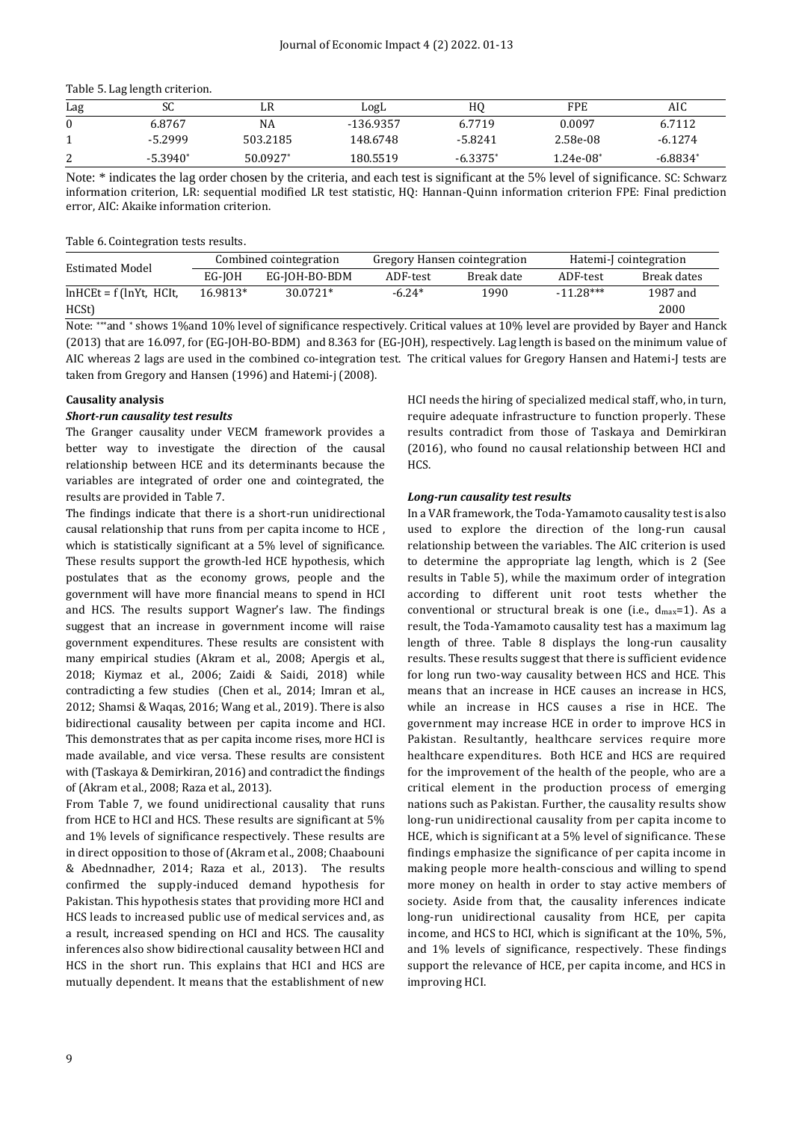|  |  |  |  | Table 5. Lag length criterion. |
|--|--|--|--|--------------------------------|
|--|--|--|--|--------------------------------|

| Lag | эU        | LR       | LogL      | HO         | <b>FPE</b>  | AIC       |
|-----|-----------|----------|-----------|------------|-------------|-----------|
| 0   | 6.8767    | NA       | -136.9357 | 6.7719     | 0.0097      | 6.7112    |
|     | $-5.2999$ | 503.2185 | 148.6748  | $-5.8241$  | 2.58e-08    | $-6.1274$ |
| ∠   | -5.3940*  | 50.0927* | 180.5519  | $-6.3375*$ | $1.24e-08*$ | -6.8834*  |

Note: \* indicates the lag order chosen by the criteria, and each test is significant at the 5% level of significance. SC: Schwarz information criterion, LR: sequential modified LR test statistic, HQ: Hannan-Quinn information criterion FPE: Final prediction error, AIC: Akaike information criterion.

Table 6. Cointegration tests results.

| Estimated Model             | Combined cointegration |               | Gregory Hansen cointegration |            | Hatemi-I cointegration |             |
|-----------------------------|------------------------|---------------|------------------------------|------------|------------------------|-------------|
|                             | EG-IOH                 | EG-IOH-BO-BDM | ADF-test                     | Break date | ADF-test               | Break dates |
| $ln HCEt = f (ln Yt, HClt,$ | 16.9813*               | $30.0721*$    | $-6.24*$                     | 1990       | $-11.28***$            | 1987 and    |
| HCSt)                       |                        |               |                              |            |                        | 2000        |

Note: \*\*\*and \* shows 1%and 10% level of significance respectively. Critical values at 10% level are provided by Bayer and Hanck (2013) that are 16.097, for (EG-JOH-BO-BDM) and 8.363 for (EG-JOH), respectively. Lag length is based on the minimum value of AIC whereas 2 lags are used in the combined co-integration test. The critical values for Gregory Hansen and Hatemi-J tests are taken from Gregory and Hansen (1996) and Hatemi-j (2008).

# **Causality analysis**

# *Short-run causality test results*

The Granger causality under VECM framework provides a better way to investigate the direction of the causal relationship between HCE and its determinants because the variables are integrated of order one and cointegrated, the results are provided in Table 7.

The findings indicate that there is a short-run unidirectional causal relationship that runs from per capita income to HCE , which is statistically significant at a 5% level of significance. These results support the growth-led HCE hypothesis, which postulates that as the economy grows, people and the government will have more financial means to spend in HCI and HCS. The results support Wagner's law. The findings suggest that an increase in government income will raise government expenditures. These results are consistent with many empirical studies (Akram et al., 2008; Apergis et al., 2018; Kiymaz et al., 2006; Zaidi & Saidi, 2018) while contradicting a few studies (Chen et al., 2014; Imran et al., 2012; Shamsi & Waqas, 2016; Wang et al., 2019). There is also bidirectional causality between per capita income and HCI. This demonstrates that as per capita income rises, more HCI is made available, and vice versa. These results are consistent with (Taskaya & Demirkiran, 2016) and contradict the findings of (Akram et al., 2008; Raza et al., 2013).

From Table 7, we found unidirectional causality that runs from HCE to HCI and HCS. These results are significant at 5% and 1% levels of significance respectively. These results are in direct opposition to those of (Akram et al., 2008; Chaabouni & Abednnadher, 2014; Raza et al., 2013). The results confirmed the supply-induced demand hypothesis for Pakistan. This hypothesis states that providing more HCI and HCS leads to increased public use of medical services and, as a result, increased spending on HCI and HCS. The causality inferences also show bidirectional causality between HCI and HCS in the short run. This explains that HCI and HCS are mutually dependent. It means that the establishment of new

HCI needs the hiring of specialized medical staff, who, in turn, require adequate infrastructure to function properly. These results contradict from those of Taskaya and Demirkiran (2016), who found no causal relationship between HCI and HCS.

# *Long-run causality test results*

In a VAR framework, the Toda-Yamamoto causality test is also used to explore the direction of the long-run causal relationship between the variables. The AIC criterion is used to determine the appropriate lag length, which is 2 (See results in Table 5), while the maximum order of integration according to different unit root tests whether the conventional or structural break is one (i.e.,  $d_{max}=1$ ). As a result, the Toda-Yamamoto causality test has a maximum lag length of three. Table 8 displays the long-run causality results. These results suggest that there is sufficient evidence for long run two-way causality between HCS and HCE. This means that an increase in HCE causes an increase in HCS, while an increase in HCS causes a rise in HCE. The government may increase HCE in order to improve HCS in Pakistan. Resultantly, healthcare services require more healthcare expenditures. Both HCE and HCS are required for the improvement of the health of the people, who are a critical element in the production process of emerging nations such as Pakistan. Further, the causality results show long-run unidirectional causality from per capita income to HCE, which is significant at a 5% level of significance. These findings emphasize the significance of per capita income in making people more health-conscious and willing to spend more money on health in order to stay active members of society. Aside from that, the causality inferences indicate long-run unidirectional causality from HCE, per capita income, and HCS to HCI, which is significant at the 10%, 5%, and 1% levels of significance, respectively. These findings support the relevance of HCE, per capita income, and HCS in improving HCI.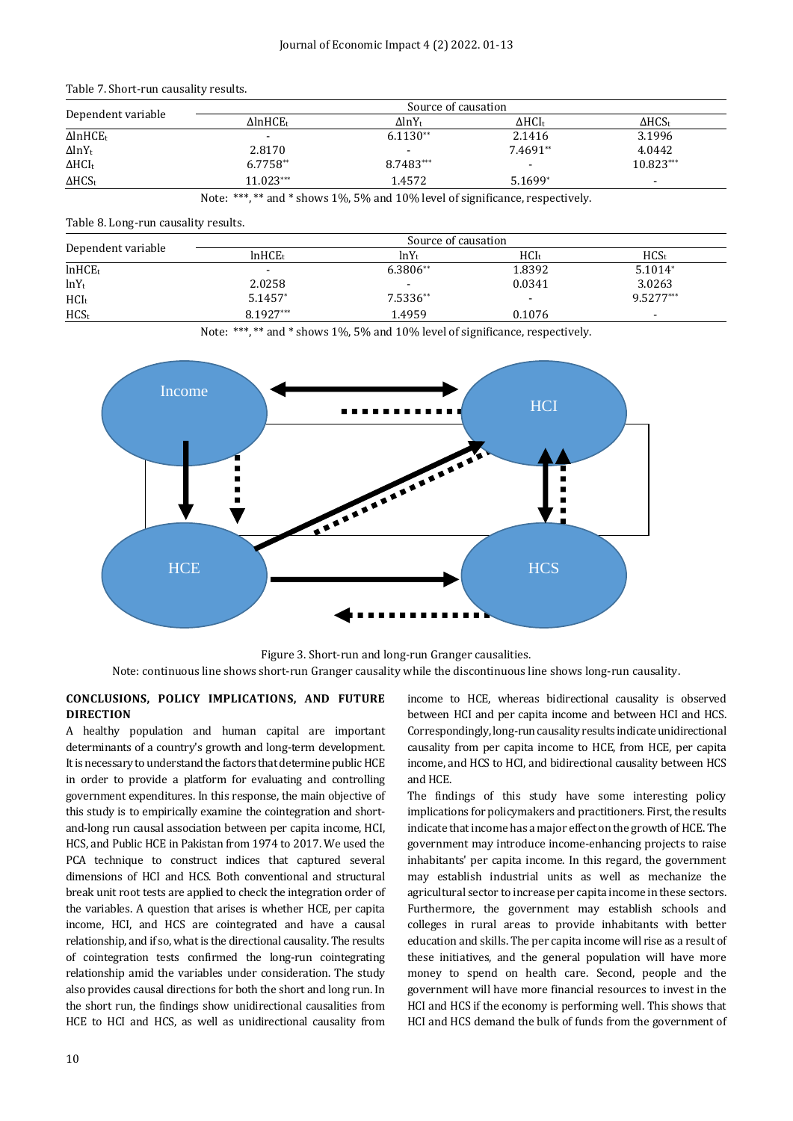|  | Table 7. Short-run causality results. |  |  |
|--|---------------------------------------|--|--|
|--|---------------------------------------|--|--|

|                             |                             | Source of causation       |                  |                |
|-----------------------------|-----------------------------|---------------------------|------------------|----------------|
| Dependent variable          | $\Delta$ lnHCE <sub>t</sub> | $\Delta$ lnY <sub>t</sub> | $\Delta HCl_{t}$ | $\Delta HCS_t$ |
| $\Delta$ lnHCE <sub>t</sub> |                             | $6.1130**$                | 2.1416           | 3.1996         |
| $\Delta$ lnY <sub>t</sub>   | 2.8170                      |                           | 7.4691**         | 4.0442         |
| $\Delta HCI_t$              | $6.7758**$                  | 8.7483***                 | ۰                | $10.823***$    |
| $\Delta HCS_t$              | $11.023***$                 | 1.4572                    | 5.1699*          | $\,$           |

Note: \*\*\*, \*\* and \* shows 1%, 5% and 10% level of significance, respectively.

### Table 8. Long-run causality results.

|                     |                          | Source of causation |                          |                  |
|---------------------|--------------------------|---------------------|--------------------------|------------------|
| Dependent variable  | ln HCE <sub>t</sub>      | $ln Y_t$            | $HCI_t$                  | HCS <sub>t</sub> |
| ln HCE <sub>t</sub> | $\overline{\phantom{a}}$ | $6.3806**$          | 1.8392                   | $5.1014*$        |
| $lnY_t$             | 2.0258                   |                     | 0.0341                   | 3.0263           |
| HCI <sub>t</sub>    | 5.1457*                  | 7.5336**            | $\overline{\phantom{a}}$ | $9.5277***$      |
| HCS <sub>t</sub>    | 8.1927***                | 1.4959              | 0.1076                   |                  |

Note: \*\*\*, \*\* and \* shows 1%, 5% and 10% level of significance, respectively.



Figure 3. Short-run and long-run Granger causalities. Note: continuous line shows short-run Granger causality while the discontinuous line shows long-run causality.

# **CONCLUSIONS, POLICY IMPLICATIONS, AND FUTURE DIRECTION**

A healthy population and human capital are important determinants of a country's growth and long-term development. It is necessary to understand the factors that determine public HCE in order to provide a platform for evaluating and controlling government expenditures. In this response, the main objective of this study is to empirically examine the cointegration and shortand-long run causal association between per capita income, HCI, HCS, and Public HCE in Pakistan from 1974 to 2017. We used the PCA technique to construct indices that captured several dimensions of HCI and HCS. Both conventional and structural break unit root tests are applied to check the integration order of the variables. A question that arises is whether HCE, per capita income, HCI, and HCS are cointegrated and have a causal relationship, and if so, what is the directional causality. The results of cointegration tests confirmed the long-run cointegrating relationship amid the variables under consideration. The study also provides causal directions for both the short and long run. In the short run, the findings show unidirectional causalities from HCE to HCI and HCS, as well as unidirectional causality from

income to HCE, whereas bidirectional causality is observed between HCI and per capita income and between HCI and HCS. Correspondingly, long-run causality results indicate unidirectional causality from per capita income to HCE, from HCE, per capita income, and HCS to HCI, and bidirectional causality between HCS and HCE.

The findings of this study have some interesting policy implications for policymakers and practitioners. First, the results indicate that income has a major effect on the growth of HCE. The government may introduce income-enhancing projects to raise inhabitants' per capita income. In this regard, the government may establish industrial units as well as mechanize the agricultural sector to increase per capita income in these sectors. Furthermore, the government may establish schools and colleges in rural areas to provide inhabitants with better education and skills. The per capita income will rise as a result of these initiatives, and the general population will have more money to spend on health care. Second, people and the government will have more financial resources to invest in the HCI and HCS if the economy is performing well. This shows that HCI and HCS demand the bulk of funds from the government of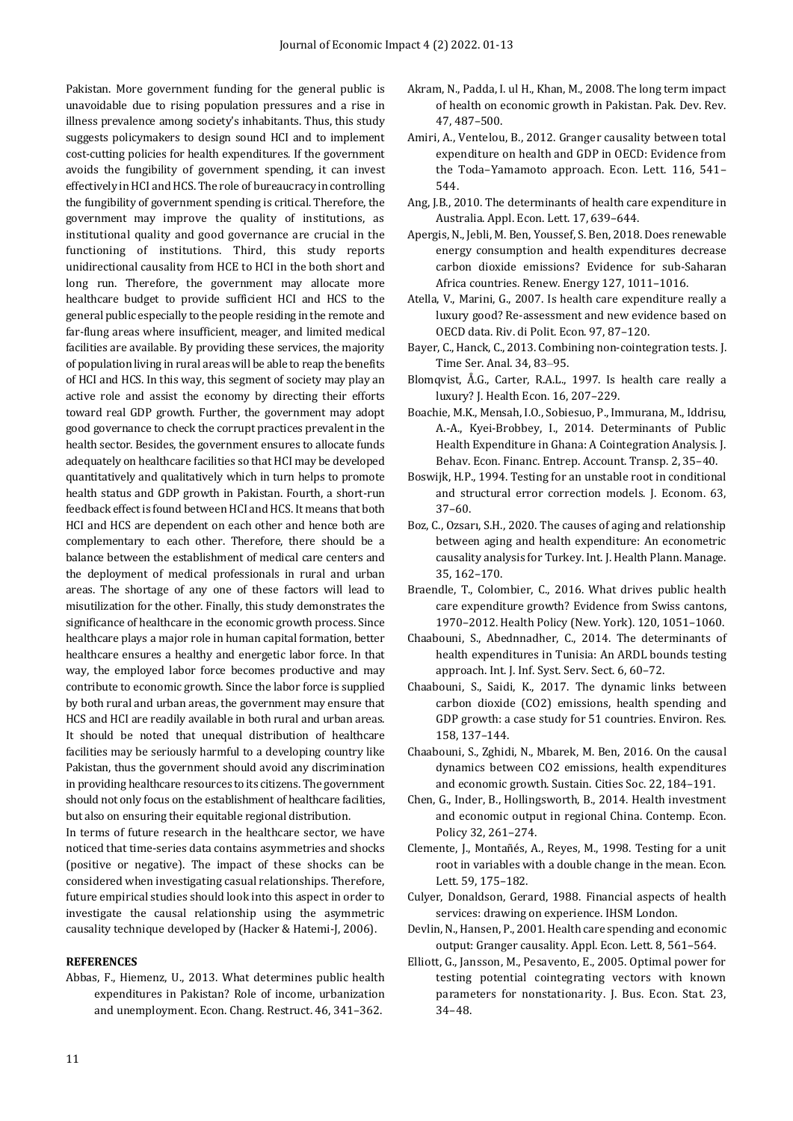Pakistan. More government funding for the general public is unavoidable due to rising population pressures and a rise in illness prevalence among society's inhabitants. Thus, this study suggests policymakers to design sound HCI and to implement cost-cutting policies for health expenditures. If the government avoids the fungibility of government spending, it can invest effectively in HCI and HCS. The role of bureaucracy in controlling the fungibility of government spending is critical. Therefore, the government may improve the quality of institutions, as institutional quality and good governance are crucial in the functioning of institutions. Third, this study reports unidirectional causality from HCE to HCI in the both short and long run. Therefore, the government may allocate more healthcare budget to provide sufficient HCI and HCS to the general public especially to the people residing in the remote and far-flung areas where insufficient, meager, and limited medical facilities are available. By providing these services, the majority of population living in rural areas will be able to reap the benefits of HCI and HCS. In this way, this segment of society may play an active role and assist the economy by directing their efforts toward real GDP growth. Further, the government may adopt good governance to check the corrupt practices prevalent in the health sector. Besides, the government ensures to allocate funds adequately on healthcare facilities so that HCI may be developed quantitatively and qualitatively which in turn helps to promote health status and GDP growth in Pakistan. Fourth, a short-run feedback effect is found between HCI and HCS. It means that both HCI and HCS are dependent on each other and hence both are complementary to each other. Therefore, there should be a balance between the establishment of medical care centers and the deployment of medical professionals in rural and urban areas. The shortage of any one of these factors will lead to misutilization for the other. Finally, this study demonstrates the significance of healthcare in the economic growth process. Since healthcare plays a major role in human capital formation, better healthcare ensures a healthy and energetic labor force. In that way, the employed labor force becomes productive and may contribute to economic growth. Since the labor force is supplied by both rural and urban areas, the government may ensure that HCS and HCI are readily available in both rural and urban areas. It should be noted that unequal distribution of healthcare facilities may be seriously harmful to a developing country like Pakistan, thus the government should avoid any discrimination in providing healthcare resources to its citizens. The government should not only focus on the establishment of healthcare facilities, but also on ensuring their equitable regional distribution.

In terms of future research in the healthcare sector, we have noticed that time-series data contains asymmetries and shocks (positive or negative). The impact of these shocks can be considered when investigating casual relationships. Therefore, future empirical studies should look into this aspect in order to investigate the causal relationship using the asymmetric causality technique developed by (Hacker & Hatemi-J, 2006).

# **REFERENCES**

Abbas, F., Hiemenz, U., 2013. What determines public health expenditures in Pakistan? Role of income, urbanization and unemployment. Econ. Chang. Restruct. 46, 341–362.

- Akram, N., Padda, I. ul H., Khan, M., 2008. The long term impact of health on economic growth in Pakistan. Pak. Dev. Rev. 47, 487–500.
- Amiri, A., Ventelou, B., 2012. Granger causality between total expenditure on health and GDP in OECD: Evidence from the Toda–Yamamoto approach. Econ. Lett. 116, 541– 544.
- Ang, J.B., 2010. The determinants of health care expenditure in Australia. Appl. Econ. Lett. 17, 639–644.
- Apergis, N., Jebli, M. Ben, Youssef, S. Ben, 2018. Does renewable energy consumption and health expenditures decrease carbon dioxide emissions? Evidence for sub-Saharan Africa countries. Renew. Energy 127, 1011–1016.
- Atella, V., Marini, G., 2007. Is health care expenditure really a luxury good? Re-assessment and new evidence based on OECD data. Riv. di Polit. Econ. 97, 87–120.
- Bayer, C., Hanck, C., 2013. Combining non‐cointegration tests. J. Time Ser. Anal. 34, 83–95.
- Blomqvist, Å.G., Carter, R.A.L., 1997. Is health care really a luxury? J. Health Econ. 16, 207–229.
- Boachie, M.K., Mensah, I.O., Sobiesuo, P., Immurana, M., Iddrisu, A.-A., Kyei-Brobbey, I., 2014. Determinants of Public Health Expenditure in Ghana: A Cointegration Analysis. J. Behav. Econ. Financ. Entrep. Account. Transp. 2, 35–40.
- Boswijk, H.P., 1994. Testing for an unstable root in conditional and structural error correction models. J. Econom. 63, 37–60.
- Boz, C., Ozsarı, S.H., 2020. The causes of aging and relationship between aging and health expenditure: An econometric causality analysis for Turkey. Int. J. Health Plann. Manage. 35, 162–170.
- Braendle, T., Colombier, C., 2016. What drives public health care expenditure growth? Evidence from Swiss cantons, 1970–2012. Health Policy (New. York). 120, 1051–1060.
- Chaabouni, S., Abednnadher, C., 2014. The determinants of health expenditures in Tunisia: An ARDL bounds testing approach. Int. J. Inf. Syst. Serv. Sect. 6, 60–72.
- Chaabouni, S., Saidi, K., 2017. The dynamic links between carbon dioxide (CO2) emissions, health spending and GDP growth: a case study for 51 countries. Environ. Res. 158, 137–144.
- Chaabouni, S., Zghidi, N., Mbarek, M. Ben, 2016. On the causal dynamics between CO2 emissions, health expenditures and economic growth. Sustain. Cities Soc. 22, 184–191.
- Chen, G., Inder, B., Hollingsworth, B., 2014. Health investment and economic output in regional China. Contemp. Econ. Policy 32, 261–274.
- Clemente, J., Montañés, A., Reyes, M., 1998. Testing for a unit root in variables with a double change in the mean. Econ. Lett. 59, 175–182.
- Culyer, Donaldson, Gerard, 1988. Financial aspects of health services: drawing on experience. IHSM London.
- Devlin, N., Hansen, P., 2001. Health care spending and economic output: Granger causality. Appl. Econ. Lett. 8, 561–564.
- Elliott, G., Jansson, M., Pesavento, E., 2005. Optimal power for testing potential cointegrating vectors with known parameters for nonstationarity. J. Bus. Econ. Stat. 23, 34–48.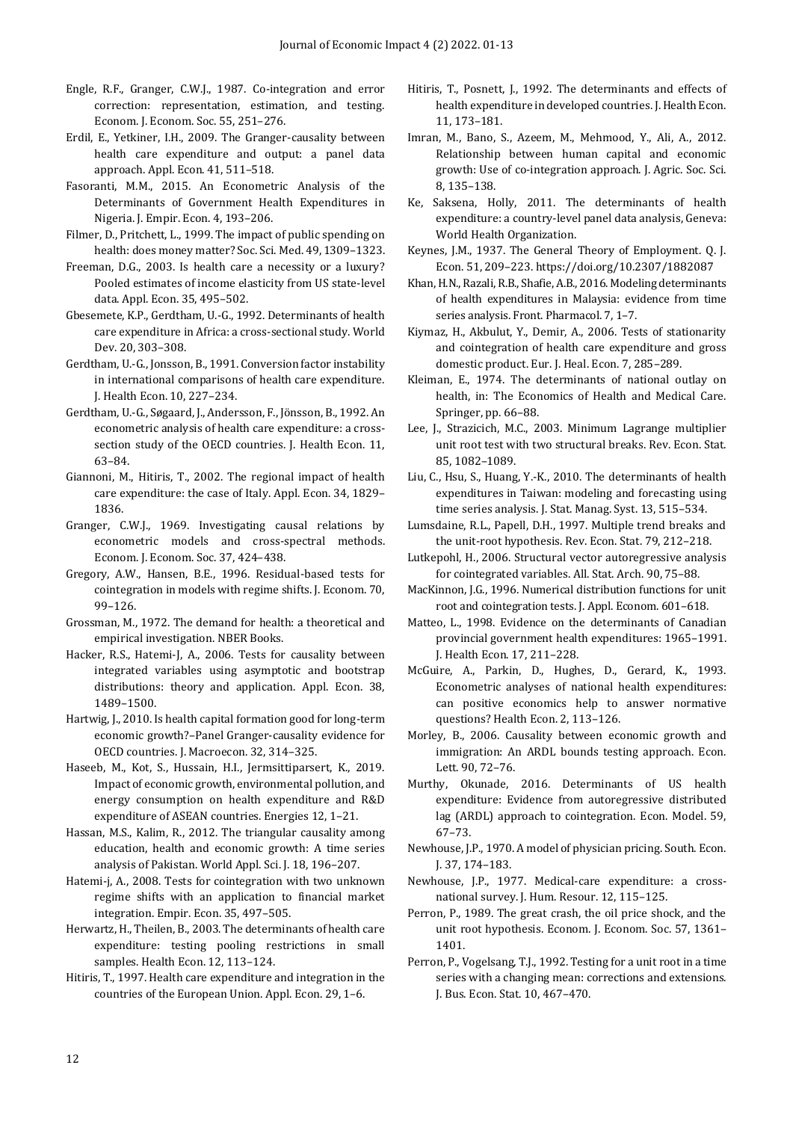- Engle, R.F., Granger, C.W.J., 1987. Co-integration and error correction: representation, estimation, and testing. Econom. J. Econom. Soc. 55, 251–276.
- Erdil, E., Yetkiner, I.H., 2009. The Granger-causality between health care expenditure and output: a panel data approach. Appl. Econ. 41, 511–518.
- Fasoranti, M.M., 2015. An Econometric Analysis of the Determinants of Government Health Expenditures in Nigeria. J. Empir. Econ. 4, 193–206.
- Filmer, D., Pritchett, L., 1999. The impact of public spending on health: does money matter? Soc. Sci. Med. 49, 1309–1323.
- Freeman, D.G., 2003. Is health care a necessity or a luxury? Pooled estimates of income elasticity from US state-level data. Appl. Econ. 35, 495–502.
- Gbesemete, K.P., Gerdtham, U.-G., 1992. Determinants of health care expenditure in Africa: a cross-sectional study. World Dev. 20, 303–308.
- Gerdtham, U.-G., Jonsson, B., 1991. Conversion factor instability in international comparisons of health care expenditure. J. Health Econ. 10, 227–234.
- Gerdtham, U.-G., Søgaard, J., Andersson, F., Jönsson, B., 1992. An econometric analysis of health care expenditure: a crosssection study of the OECD countries. J. Health Econ. 11, 63–84.
- Giannoni, M., Hitiris, T., 2002. The regional impact of health care expenditure: the case of Italy. Appl. Econ. 34, 1829– 1836.
- Granger, C.W.J., 1969. Investigating causal relations by econometric models and cross-spectral methods. Econom. J. Econom. Soc. 37, 424–438.
- Gregory, A.W., Hansen, B.E., 1996. Residual-based tests for cointegration in models with regime shifts. J. Econom. 70, 99–126.
- Grossman, M., 1972. The demand for health: a theoretical and empirical investigation. NBER Books.
- Hacker, R.S., Hatemi-J, A., 2006. Tests for causality between integrated variables using asymptotic and bootstrap distributions: theory and application. Appl. Econ. 38, 1489–1500.
- Hartwig, J., 2010. Is health capital formation good for long-term economic growth?–Panel Granger-causality evidence for OECD countries. J. Macroecon. 32, 314–325.
- Haseeb, M., Kot, S., Hussain, H.I., Jermsittiparsert, K., 2019. Impact of economic growth, environmental pollution, and energy consumption on health expenditure and R&D expenditure of ASEAN countries. Energies 12, 1–21.
- Hassan, M.S., Kalim, R., 2012. The triangular causality among education, health and economic growth: A time series analysis of Pakistan. World Appl. Sci. J. 18, 196–207.
- Hatemi-j, A., 2008. Tests for cointegration with two unknown regime shifts with an application to financial market integration. Empir. Econ. 35, 497–505.
- Herwartz, H., Theilen, B., 2003. The determinants of health care expenditure: testing pooling restrictions in small samples. Health Econ. 12, 113–124.
- Hitiris, T., 1997. Health care expenditure and integration in the countries of the European Union. Appl. Econ. 29, 1–6.
- Hitiris, T., Posnett, J., 1992. The determinants and effects of health expenditure in developed countries. J. Health Econ. 11, 173–181.
- Imran, M., Bano, S., Azeem, M., Mehmood, Y., Ali, A., 2012. Relationship between human capital and economic growth: Use of co-integration approach. J. Agric. Soc. Sci. 8, 135–138.
- Ke, Saksena, Holly, 2011. The determinants of health expenditure: a country-level panel data analysis, Geneva: World Health Organization.
- Keynes, J.M., 1937. The General Theory of Employment. Q. J. Econ. 51, 209–223. https://doi.org/10.2307/1882087
- Khan, H.N., Razali, R.B., Shafie, A.B., 2016. Modeling determinants of health expenditures in Malaysia: evidence from time series analysis. Front. Pharmacol. 7, 1–7.
- Kiymaz, H., Akbulut, Y., Demir, A., 2006. Tests of stationarity and cointegration of health care expenditure and gross domestic product. Eur. J. Heal. Econ. 7, 285–289.
- Kleiman, E., 1974. The determinants of national outlay on health, in: The Economics of Health and Medical Care. Springer, pp. 66–88.
- Lee, J., Strazicich, M.C., 2003. Minimum Lagrange multiplier unit root test with two structural breaks. Rev. Econ. Stat. 85, 1082–1089.
- Liu, C., Hsu, S., Huang, Y.-K., 2010. The determinants of health expenditures in Taiwan: modeling and forecasting using time series analysis. J. Stat. Manag. Syst. 13, 515–534.
- Lumsdaine, R.L., Papell, D.H., 1997. Multiple trend breaks and the unit-root hypothesis. Rev. Econ. Stat. 79, 212–218.
- Lutkepohl, H., 2006. Structural vector autoregressive analysis for cointegrated variables. All. Stat. Arch. 90, 75–88.
- MacKinnon, J.G., 1996. Numerical distribution functions for unit root and cointegration tests. J. Appl. Econom. 601–618.
- Matteo, L., 1998. Evidence on the determinants of Canadian provincial government health expenditures: 1965–1991. J. Health Econ. 17, 211–228.
- McGuire, A., Parkin, D., Hughes, D., Gerard, K., 1993. Econometric analyses of national health expenditures: can positive economics help to answer normative questions? Health Econ. 2, 113–126.
- Morley, B., 2006. Causality between economic growth and immigration: An ARDL bounds testing approach. Econ. Lett. 90, 72–76.
- Murthy, Okunade, 2016. Determinants of US health expenditure: Evidence from autoregressive distributed lag (ARDL) approach to cointegration. Econ. Model. 59, 67–73.
- Newhouse, J.P., 1970. A model of physician pricing. South. Econ. J. 37, 174–183.
- Newhouse, J.P., 1977. Medical-care expenditure: a crossnational survey. J. Hum. Resour. 12, 115–125.
- Perron, P., 1989. The great crash, the oil price shock, and the unit root hypothesis. Econom. J. Econom. Soc. 57, 1361– 1401.
- Perron, P., Vogelsang, T.J., 1992. Testing for a unit root in a time series with a changing mean: corrections and extensions. J. Bus. Econ. Stat. 10, 467–470.